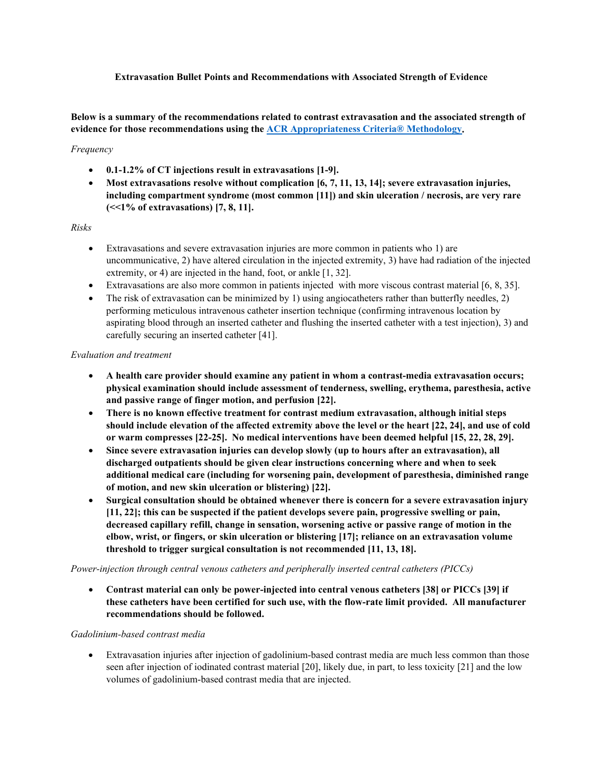## **Extravasation Bullet Points and Recommendations with Associated Strength of Evidence**

**Below is a summary of the recommendations related to contrast extravasation and the associated strength of evidence for those recommendations using the [ACR Appropriateness Criteria® Methodology.](https://www.sciencedirect.com/science/article/pii/S1546144021002453)** 

#### *Frequency*

- **0.1-1.2% of CT injections result in extravasations [1-9].**
- **Most extravasations resolve without complication [6, 7, 11, 13, 14]; severe extravasation injuries, including compartment syndrome (most common [11]) and skin ulceration / necrosis, are very rare (<<1% of extravasations) [7, 8, 11].**

#### *Risks*

- Extravasations and severe extravasation injuries are more common in patients who 1) are uncommunicative, 2) have altered circulation in the injected extremity, 3) have had radiation of the injected extremity, or 4) are injected in the hand, foot, or ankle [1, 32].
- Extravasations are also more common in patients injected with more viscous contrast material [6, 8, 35].
- The risk of extravasation can be minimized by 1) using angiocatheters rather than butterfly needles, 2) performing meticulous intravenous catheter insertion technique (confirming intravenous location by aspirating blood through an inserted catheter and flushing the inserted catheter with a test injection), 3) and carefully securing an inserted catheter [41].

#### *Evaluation and treatment*

- **A health care provider should examine any patient in whom a contrast-media extravasation occurs; physical examination should include assessment of tenderness, swelling, erythema, paresthesia, active and passive range of finger motion, and perfusion [22].**
- **There is no known effective treatment for contrast medium extravasation, although initial steps should include elevation of the affected extremity above the level or the heart [22, 24], and use of cold or warm compresses [22-25]. No medical interventions have been deemed helpful [15, 22, 28, 29].**
- **Since severe extravasation injuries can develop slowly (up to hours after an extravasation), all discharged outpatients should be given clear instructions concerning where and when to seek additional medical care (including for worsening pain, development of paresthesia, diminished range of motion, and new skin ulceration or blistering) [22].**
- **Surgical consultation should be obtained whenever there is concern for a severe extravasation injury [11, 22]; this can be suspected if the patient develops severe pain, progressive swelling or pain, decreased capillary refill, change in sensation, worsening active or passive range of motion in the elbow, wrist, or fingers, or skin ulceration or blistering [17]; reliance on an extravasation volume threshold to trigger surgical consultation is not recommended [11, 13, 18].**

## *Power-injection through central venous catheters and peripherally inserted central catheters (PICCs)*

• **Contrast material can only be power-injected into central venous catheters [38] or PICCs [39] if these catheters have been certified for such use, with the flow-rate limit provided. All manufacturer recommendations should be followed.**

## *Gadolinium-based contrast media*

• Extravasation injuries after injection of gadolinium-based contrast media are much less common than those seen after injection of iodinated contrast material [20], likely due, in part, to less toxicity [21] and the low volumes of gadolinium-based contrast media that are injected.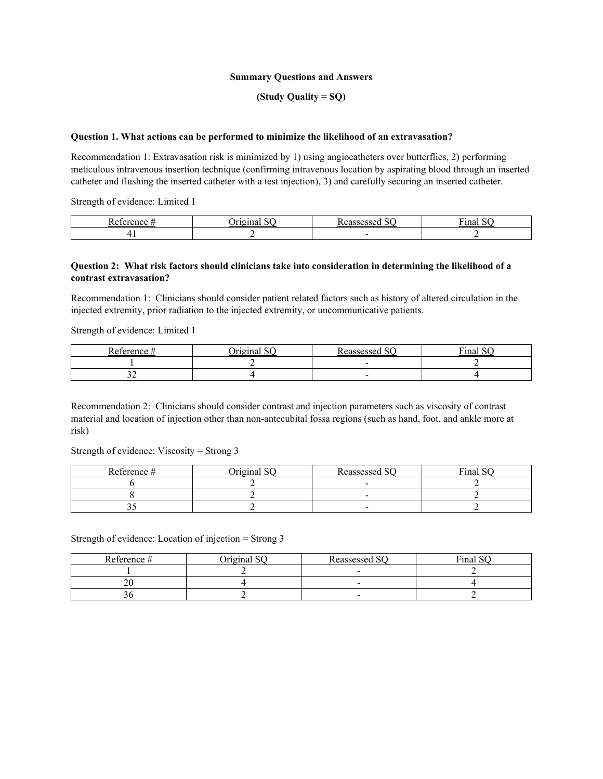#### **Summary Questions and Answers**

## **(Study Quality = SQ)**

#### **Question 1. What actions can be performed to minimize the likelihood of an extravasation?**

Recommendation 1: Extravasation risk is minimized by 1) using angiocatheters over butterflies, 2) performing meticulous intravenous insertion technique (confirming intravenous location by aspirating blood through an inserted catheter and flushing the inserted catheter with a test injection), 3) and carefully securing an inserted catheter.

Strength of evidence: Limited 1

| $\sqrt{2}$ |  | -<br>ша |
|------------|--|---------|
|            |  | -       |

#### **Question 2: What risk factors should clinicians take into consideration in determining the likelihood of a contrast extravasation?**

Recommendation 1: Clinicians should consider patient related factors such as history of altered circulation in the injected extremity, prior radiation to the injected extremity, or uncommunicative patients.

Strength of evidence: Limited 1

| n.<br>$\mathbf{L}$ | $\sim$ $\sim$<br>$\alpha$<br>,, | $\sim$<br>000000000<br>oocu<br>$\cdots$ | $\mathbf{r}$<br>$\sim$<br>шаг |
|--------------------|---------------------------------|-----------------------------------------|-------------------------------|
|                    |                                 |                                         |                               |
| ັ້                 |                                 | -                                       |                               |

Recommendation 2: Clinicians should consider contrast and injection parameters such as viscosity of contrast material and location of injection other than non-antecubital fossa regions (such as hand, foot, and ankle more at risk)

Strength of evidence: Viscosity = Strong 3

| Reference # | $\gamma$ rioinal SO | $R$ eassessed SC | Final SQ |
|-------------|---------------------|------------------|----------|
|             |                     |                  |          |
|             |                     |                  |          |
|             |                     |                  |          |

Strength of evidence: Location of injection = Strong 3

| Reference # | Original SO | Reassessed SQ            | Final SQ |
|-------------|-------------|--------------------------|----------|
|             |             |                          |          |
|             |             | $\overline{\phantom{a}}$ |          |
|             |             | $\overline{\phantom{0}}$ |          |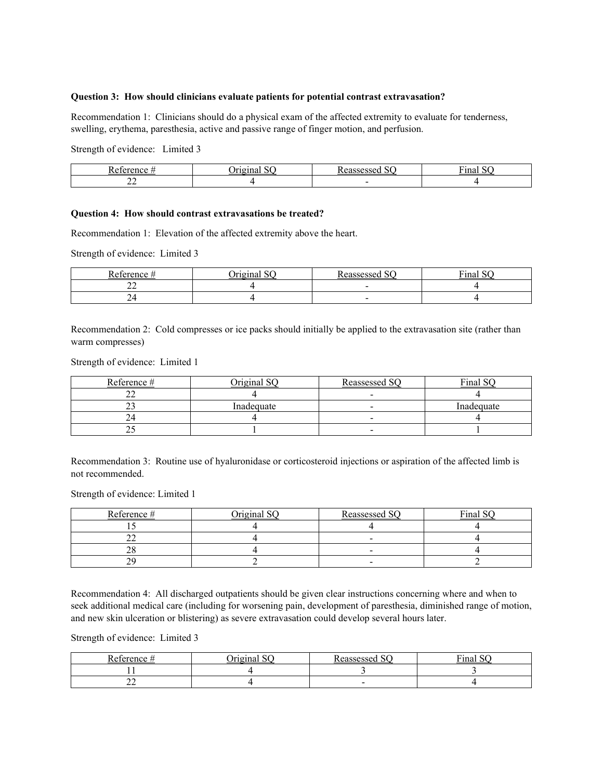#### **Question 3: How should clinicians evaluate patients for potential contrast extravasation?**

Recommendation 1: Clinicians should do a physical exam of the affected extremity to evaluate for tenderness, swelling, erythema, paresthesia, active and passive range of finger motion, and perfusion.

Strength of evidence: Limited 3

| ∽                        |     | . |
|--------------------------|-----|---|
| $\overline{\phantom{a}}$ | . . |   |

## **Question 4: How should contrast extravasations be treated?**

Recommendation 1: Elevation of the affected extremity above the heart.

Strength of evidence: Limited 3

| erence | $\sim$ $\sim$<br> | $\sim$<br>ARCCACCAC<br>◡<br>scsscu | $\mathbf{r}$<br>$\sim$ $\sim$<br>Final |
|--------|-------------------|------------------------------------|----------------------------------------|
| --     |                   |                                    |                                        |
| ∼      |                   |                                    |                                        |

Recommendation 2: Cold compresses or ice packs should initially be applied to the extravasation site (rather than warm compresses)

Strength of evidence: Limited 1

| Reference # | Original SQ | Reassessed SQ            | Final SC   |
|-------------|-------------|--------------------------|------------|
| ∸           |             |                          |            |
|             | Inadequate  | $\overline{\phantom{0}}$ | Inadequate |
|             |             |                          |            |
| --          |             | $\overline{\phantom{0}}$ |            |

Recommendation 3: Routine use of hyaluronidase or corticosteroid injections or aspiration of the affected limb is not recommended.

Strength of evidence: Limited 1

| Reference # | $\cdot$ iriginal $\circ$ | Reassessed SQ            | Final SQ |
|-------------|--------------------------|--------------------------|----------|
|             |                          |                          |          |
| --          |                          | $\overline{\phantom{0}}$ |          |
| $\sim$      |                          |                          |          |
|             |                          | -                        |          |

Recommendation 4: All discharged outpatients should be given clear instructions concerning where and when to seek additional medical care (including for worsening pain, development of paresthesia, diminished range of motion, and new skin ulceration or blistering) as severe extravasation could develop several hours later.

Strength of evidence: Limited 3

| <b>D</b><br><b>COMOMOO</b> | $\sim$<br><b><i>Breadface</i></b> | $\sim$<br>$\overline{\phantom{a}}$ | $\mathbf{r}$<br>$\sim$ $\sim$<br>110<br>шаг<br>- 1.27 |
|----------------------------|-----------------------------------|------------------------------------|-------------------------------------------------------|
|                            |                                   |                                    |                                                       |
| --                         |                                   | $\overline{\phantom{0}}$           |                                                       |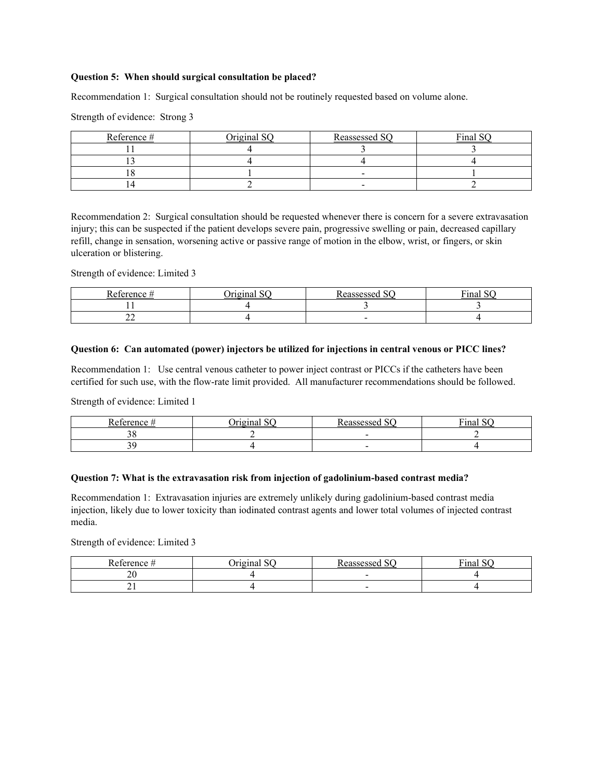#### **Question 5: When should surgical consultation be placed?**

Recommendation 1: Surgical consultation should not be routinely requested based on volume alone.

Strength of evidence: Strong 3

| Reference # | Orioinal SO | Reassessed SQ            | Final SQ |
|-------------|-------------|--------------------------|----------|
|             |             |                          |          |
|             |             |                          |          |
|             |             | $\sim$                   |          |
|             |             | $\overline{\phantom{0}}$ |          |

Recommendation 2: Surgical consultation should be requested whenever there is concern for a severe extravasation injury; this can be suspected if the patient develops severe pain, progressive swelling or pain, decreased capillary refill, change in sensation, worsening active or passive range of motion in the elbow, wrist, or fingers, or skin ulceration or blistering.

Strength of evidence: Limited 3

| n.<br>$\sim$ $\sim$ $\sim$ $\sim$ | $\sim$<br>1 | $\sim$<br>CCACCAC | $\mathbf{r}$<br>†ina. |
|-----------------------------------|-------------|-------------------|-----------------------|
|                                   |             |                   |                       |
| $\overline{\phantom{a}}$          |             | -                 |                       |

#### **Question 6: Can automated (power) injectors be utilized for injections in central venous or PICC lines?**

Recommendation 1: Use central venous catheter to power inject contrast or PICCs if the catheters have been certified for such use, with the flow-rate limit provided. All manufacturer recommendations should be followed.

Strength of evidence: Limited 1

| n<br>$\sim$ $\sim$ $\sim$ | -<br>$- - - - -$ | $\sim$ $\sim$ $\sim$ | T.<br>$\sim$<br>'ınal |
|---------------------------|------------------|----------------------|-----------------------|
|                           |                  |                      |                       |
|                           |                  |                      |                       |

#### **Question 7: What is the extravasation risk from injection of gadolinium-based contrast media?**

Recommendation 1: Extravasation injuries are extremely unlikely during gadolinium-based contrast media injection, likely due to lower toxicity than iodinated contrast agents and lower total volumes of injected contrast media.

Strength of evidence: Limited 3

| ∽<br>eterence<br> | $  -$ | T. |
|-------------------|-------|----|
| ZV.               | -     |    |
| - -               |       |    |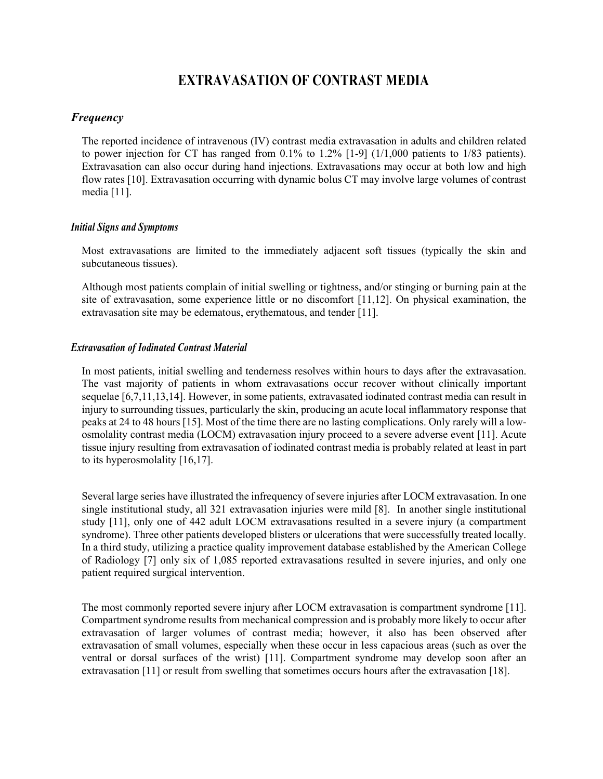# **EXTRAVASATION OF CONTRAST MEDIA**

# *Frequency*

The reported incidence of intravenous (IV) contrast media extravasation in adults and children related to power injection for CT has ranged from 0.1% to 1.2% [1-9] (1/1,000 patients to 1/83 patients). Extravasation can also occur during hand injections. Extravasations may occur at both low and high flow rates [10]. Extravasation occurring with dynamic bolus CT may involve large volumes of contrast media [11].

## *Initial Signs and Symptoms*

Most extravasations are limited to the immediately adjacent soft tissues (typically the skin and subcutaneous tissues).

Although most patients complain of initial swelling or tightness, and/or stinging or burning pain at the site of extravasation, some experience little or no discomfort [11,12]. On physical examination, the extravasation site may be edematous, erythematous, and tender [11].

## *Extravasation of Iodinated Contrast Material*

In most patients, initial swelling and tenderness resolves within hours to days after the extravasation. The vast majority of patients in whom extravasations occur recover without clinically important sequelae [6,7,11,13,14]. However, in some patients, extravasated iodinated contrast media can result in injury to surrounding tissues, particularly the skin, producing an acute local inflammatory response that peaks at 24 to 48 hours [15]. Most of the time there are no lasting complications. Only rarely will a lowosmolality contrast media (LOCM) extravasation injury proceed to a severe adverse event [11]. Acute tissue injury resulting from extravasation of iodinated contrast media is probably related at least in part to its hyperosmolality [16,17].

Several large series have illustrated the infrequency of severe injuries after LOCM extravasation. In one single institutional study, all 321 extravasation injuries were mild [8]. In another single institutional study [11], only one of 442 adult LOCM extravasations resulted in a severe injury (a compartment syndrome). Three other patients developed blisters or ulcerations that were successfully treated locally. In a third study, utilizing a practice quality improvement database established by the American College of Radiology [7] only six of 1,085 reported extravasations resulted in severe injuries, and only one patient required surgical intervention.

The most commonly reported severe injury after LOCM extravasation is compartment syndrome [11]. Compartment syndrome results from mechanical compression and is probably more likely to occur after extravasation of larger volumes of contrast media; however, it also has been observed after extravasation of small volumes, especially when these occur in less capacious areas (such as over the ventral or dorsal surfaces of the wrist) [11]. Compartment syndrome may develop soon after an extravasation [11] or result from swelling that sometimes occurs hours after the extravasation [18].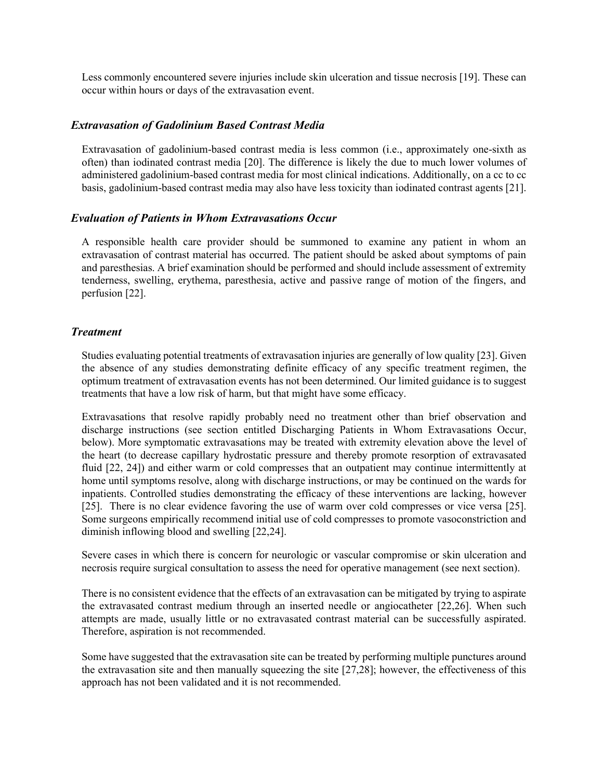Less commonly encountered severe injuries include skin ulceration and tissue necrosis [19]. These can occur within hours or days of the extravasation event.

## *Extravasation of Gadolinium Based Contrast Media*

Extravasation of gadolinium-based contrast media is less common (i.e., approximately one-sixth as often) than iodinated contrast media [20]. The difference is likely the due to much lower volumes of administered gadolinium-based contrast media for most clinical indications. Additionally, on a cc to cc basis, gadolinium-based contrast media may also have less toxicity than iodinated contrast agents [21].

## *Evaluation of Patients in Whom Extravasations Occur*

A responsible health care provider should be summoned to examine any patient in whom an extravasation of contrast material has occurred. The patient should be asked about symptoms of pain and paresthesias. A brief examination should be performed and should include assessment of extremity tenderness, swelling, erythema, paresthesia, active and passive range of motion of the fingers, and perfusion [22].

## *Treatment*

Studies evaluating potential treatments of extravasation injuries are generally of low quality [23]. Given the absence of any studies demonstrating definite efficacy of any specific treatment regimen, the optimum treatment of extravasation events has not been determined. Our limited guidance is to suggest treatments that have a low risk of harm, but that might have some efficacy.

Extravasations that resolve rapidly probably need no treatment other than brief observation and discharge instructions (see section entitled Discharging Patients in Whom Extravasations Occur, below). More symptomatic extravasations may be treated with extremity elevation above the level of the heart (to decrease capillary hydrostatic pressure and thereby promote resorption of extravasated fluid [22, 24]) and either warm or cold compresses that an outpatient may continue intermittently at home until symptoms resolve, along with discharge instructions, or may be continued on the wards for inpatients. Controlled studies demonstrating the efficacy of these interventions are lacking, however [25]. There is no clear evidence favoring the use of warm over cold compresses or vice versa [25]. Some surgeons empirically recommend initial use of cold compresses to promote vasoconstriction and diminish inflowing blood and swelling [22,24].

Severe cases in which there is concern for neurologic or vascular compromise or skin ulceration and necrosis require surgical consultation to assess the need for operative management (see next section).

There is no consistent evidence that the effects of an extravasation can be mitigated by trying to aspirate the extravasated contrast medium through an inserted needle or angiocatheter [22,26]. When such attempts are made, usually little or no extravasated contrast material can be successfully aspirated. Therefore, aspiration is not recommended.

Some have suggested that the extravasation site can be treated by performing multiple punctures around the extravasation site and then manually squeezing the site [27,28]; however, the effectiveness of this approach has not been validated and it is not recommended.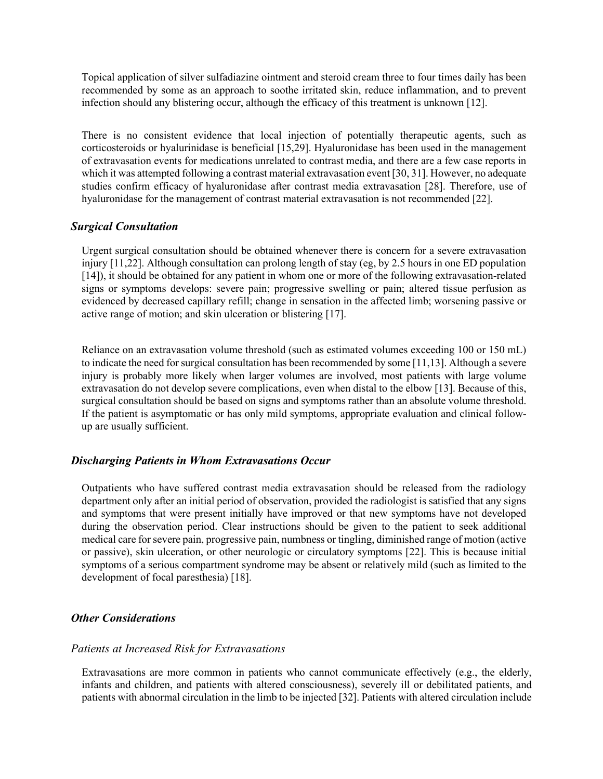Topical application of silver sulfadiazine ointment and steroid cream three to four times daily has been recommended by some as an approach to soothe irritated skin, reduce inflammation, and to prevent infection should any blistering occur, although the efficacy of this treatment is unknown [12].

There is no consistent evidence that local injection of potentially therapeutic agents, such as corticosteroids or hyalurinidase is beneficial [15,29]. Hyaluronidase has been used in the management of extravasation events for medications unrelated to contrast media, and there are a few case reports in which it was attempted following a contrast material extravasation event [30, 31]. However, no adequate studies confirm efficacy of hyaluronidase after contrast media extravasation [28]. Therefore, use of hyaluronidase for the management of contrast material extravasation is not recommended [22].

## *Surgical Consultation*

Urgent surgical consultation should be obtained whenever there is concern for a severe extravasation injury [11,22]. Although consultation can prolong length of stay (eg, by 2.5 hours in one ED population [14]), it should be obtained for any patient in whom one or more of the following extravasation-related signs or symptoms develops: severe pain; progressive swelling or pain; altered tissue perfusion as evidenced by decreased capillary refill; change in sensation in the affected limb; worsening passive or active range of motion; and skin ulceration or blistering [17].

Reliance on an extravasation volume threshold (such as estimated volumes exceeding 100 or 150 mL) to indicate the need for surgical consultation has been recommended by some [11,13]. Although a severe injury is probably more likely when larger volumes are involved, most patients with large volume extravasation do not develop severe complications, even when distal to the elbow [13]. Because of this, surgical consultation should be based on signs and symptoms rather than an absolute volume threshold. If the patient is asymptomatic or has only mild symptoms, appropriate evaluation and clinical followup are usually sufficient.

# *Discharging Patients in Whom Extravasations Occur*

Outpatients who have suffered contrast media extravasation should be released from the radiology department only after an initial period of observation, provided the radiologist is satisfied that any signs and symptoms that were present initially have improved or that new symptoms have not developed during the observation period. Clear instructions should be given to the patient to seek additional medical care for severe pain, progressive pain, numbness or tingling, diminished range of motion (active or passive), skin ulceration, or other neurologic or circulatory symptoms [22]. This is because initial symptoms of a serious compartment syndrome may be absent or relatively mild (such as limited to the development of focal paresthesia) [18].

# *Other Considerations*

## *Patients at Increased Risk for Extravasations*

Extravasations are more common in patients who cannot communicate effectively (e.g., the elderly, infants and children, and patients with altered consciousness), severely ill or debilitated patients, and patients with abnormal circulation in the limb to be injected [32]. Patients with altered circulation include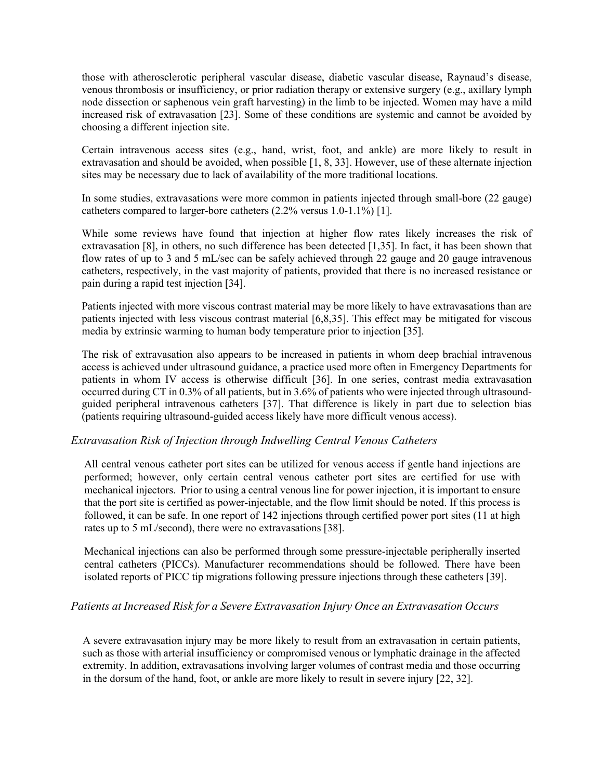those with atherosclerotic peripheral vascular disease, diabetic vascular disease, Raynaud's disease, venous thrombosis or insufficiency, or prior radiation therapy or extensive surgery (e.g., axillary lymph node dissection or saphenous vein graft harvesting) in the limb to be injected. Women may have a mild increased risk of extravasation [23]. Some of these conditions are systemic and cannot be avoided by choosing a different injection site.

Certain intravenous access sites (e.g., hand, wrist, foot, and ankle) are more likely to result in extravasation and should be avoided, when possible [1, 8, 33]. However, use of these alternate injection sites may be necessary due to lack of availability of the more traditional locations.

In some studies, extravasations were more common in patients injected through small-bore (22 gauge) catheters compared to larger-bore catheters (2.2% versus 1.0-1.1%) [1].

While some reviews have found that injection at higher flow rates likely increases the risk of extravasation [8], in others, no such difference has been detected [1,35]. In fact, it has been shown that flow rates of up to 3 and 5 mL/sec can be safely achieved through 22 gauge and 20 gauge intravenous catheters, respectively, in the vast majority of patients, provided that there is no increased resistance or pain during a rapid test injection [34].

Patients injected with more viscous contrast material may be more likely to have extravasations than are patients injected with less viscous contrast material [6,8,35]. This effect may be mitigated for viscous media by extrinsic warming to human body temperature prior to injection [35].

The risk of extravasation also appears to be increased in patients in whom deep brachial intravenous access is achieved under ultrasound guidance, a practice used more often in Emergency Departments for patients in whom IV access is otherwise difficult [36]. In one series, contrast media extravasation occurred during CT in 0.3% of all patients, but in 3.6% of patients who were injected through ultrasoundguided peripheral intravenous catheters [37]. That difference is likely in part due to selection bias (patients requiring ultrasound-guided access likely have more difficult venous access).

# *Extravasation Risk of Injection through Indwelling Central Venous Catheters*

All central venous catheter port sites can be utilized for venous access if gentle hand injections are performed; however, only certain central venous catheter port sites are certified for use with mechanical injectors. Prior to using a central venous line for power injection, it is important to ensure that the port site is certified as power-injectable, and the flow limit should be noted. If this process is followed, it can be safe. In one report of 142 injections through certified power port sites (11 at high rates up to 5 mL/second), there were no extravasations [38].

Mechanical injections can also be performed through some pressure-injectable peripherally inserted central catheters (PICCs). Manufacturer recommendations should be followed. There have been isolated reports of PICC tip migrations following pressure injections through these catheters [39].

## *Patients at Increased Risk for a Severe Extravasation Injury Once an Extravasation Occurs*

A severe extravasation injury may be more likely to result from an extravasation in certain patients, such as those with arterial insufficiency or compromised venous or lymphatic drainage in the affected extremity. In addition, extravasations involving larger volumes of contrast media and those occurring in the dorsum of the hand, foot, or ankle are more likely to result in severe injury [22, 32].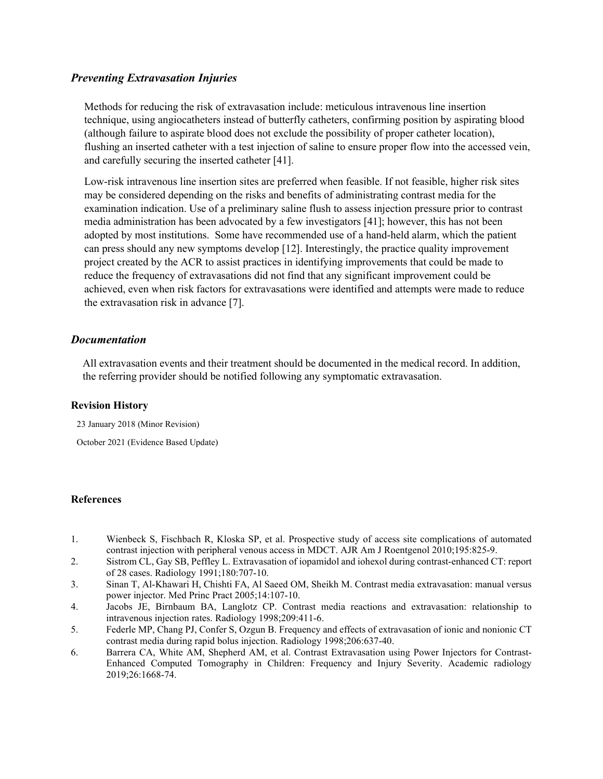# *Preventing Extravasation Injuries*

Methods for reducing the risk of extravasation include: meticulous intravenous line insertion technique, using angiocatheters instead of butterfly catheters, confirming position by aspirating blood (although failure to aspirate blood does not exclude the possibility of proper catheter location), flushing an inserted catheter with a test injection of saline to ensure proper flow into the accessed vein, and carefully securing the inserted catheter [41].

Low-risk intravenous line insertion sites are preferred when feasible. If not feasible, higher risk sites may be considered depending on the risks and benefits of administrating contrast media for the examination indication. Use of a preliminary saline flush to assess injection pressure prior to contrast media administration has been advocated by a few investigators [41]; however, this has not been adopted by most institutions. Some have recommended use of a hand-held alarm, which the patient can press should any new symptoms develop [12]. Interestingly, the practice quality improvement project created by the ACR to assist practices in identifying improvements that could be made to reduce the frequency of extravasations did not find that any significant improvement could be achieved, even when risk factors for extravasations were identified and attempts were made to reduce the extravasation risk in advance [7].

## *Documentation*

All extravasation events and their treatment should be documented in the medical record. In addition, the referring provider should be notified following any symptomatic extravasation.

## **Revision History**

23 January 2018 (Minor Revision)

October 2021 (Evidence Based Update)

## **References**

- 1. Wienbeck S, Fischbach R, Kloska SP, et al. Prospective study of access site complications of automated contrast injection with peripheral venous access in MDCT. AJR Am J Roentgenol 2010;195:825-9.
- 2. Sistrom CL, Gay SB, Peffley L. Extravasation of iopamidol and iohexol during contrast-enhanced CT: report of 28 cases. Radiology 1991;180:707-10.
- 3. Sinan T, Al-Khawari H, Chishti FA, Al Saeed OM, Sheikh M. Contrast media extravasation: manual versus power injector. Med Princ Pract 2005;14:107-10.
- 4. Jacobs JE, Birnbaum BA, Langlotz CP. Contrast media reactions and extravasation: relationship to intravenous injection rates. Radiology 1998;209:411-6.
- 5. Federle MP, Chang PJ, Confer S, Ozgun B. Frequency and effects of extravasation of ionic and nonionic CT contrast media during rapid bolus injection. Radiology 1998;206:637-40.
- 6. Barrera CA, White AM, Shepherd AM, et al. Contrast Extravasation using Power Injectors for Contrast-Enhanced Computed Tomography in Children: Frequency and Injury Severity. Academic radiology 2019;26:1668-74.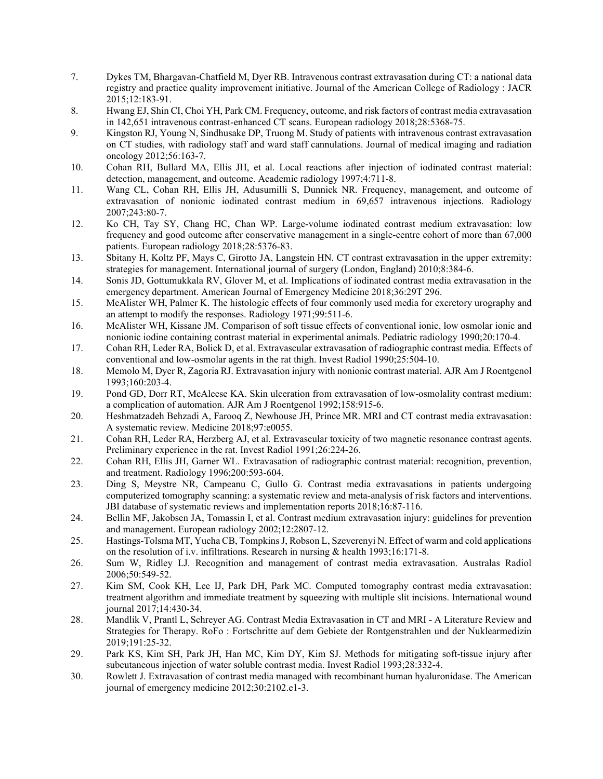- 7. Dykes TM, Bhargavan-Chatfield M, Dyer RB. Intravenous contrast extravasation during CT: a national data registry and practice quality improvement initiative. Journal of the American College of Radiology : JACR 2015;12:183-91.
- 8. Hwang EJ, Shin CI, Choi YH, Park CM. Frequency, outcome, and risk factors of contrast media extravasation in 142,651 intravenous contrast-enhanced CT scans. European radiology 2018;28:5368-75.
- 9. Kingston RJ, Young N, Sindhusake DP, Truong M. Study of patients with intravenous contrast extravasation on CT studies, with radiology staff and ward staff cannulations. Journal of medical imaging and radiation oncology 2012;56:163-7.
- 10. Cohan RH, Bullard MA, Ellis JH, et al. Local reactions after injection of iodinated contrast material: detection, management, and outcome. Academic radiology 1997;4:711-8.
- 11. Wang CL, Cohan RH, Ellis JH, Adusumilli S, Dunnick NR. Frequency, management, and outcome of extravasation of nonionic iodinated contrast medium in 69,657 intravenous injections. Radiology 2007;243:80-7.
- 12. Ko CH, Tay SY, Chang HC, Chan WP. Large-volume iodinated contrast medium extravasation: low frequency and good outcome after conservative management in a single-centre cohort of more than 67,000 patients. European radiology 2018;28:5376-83.
- 13. Sbitany H, Koltz PF, Mays C, Girotto JA, Langstein HN. CT contrast extravasation in the upper extremity: strategies for management. International journal of surgery (London, England) 2010;8:384-6.
- 14. Sonis JD, Gottumukkala RV, Glover M, et al. Implications of iodinated contrast media extravasation in the emergency department. American Journal of Emergency Medicine 2018;36:29T 296.
- 15. McAlister WH, Palmer K. The histologic effects of four commonly used media for excretory urography and an attempt to modify the responses. Radiology 1971;99:511-6.
- 16. McAlister WH, Kissane JM. Comparison of soft tissue effects of conventional ionic, low osmolar ionic and nonionic iodine containing contrast material in experimental animals. Pediatric radiology 1990;20:170-4.
- 17. Cohan RH, Leder RA, Bolick D, et al. Extravascular extravasation of radiographic contrast media. Effects of conventional and low-osmolar agents in the rat thigh. Invest Radiol 1990;25:504-10.
- 18. Memolo M, Dyer R, Zagoria RJ. Extravasation injury with nonionic contrast material. AJR Am J Roentgenol 1993;160:203-4.
- 19. Pond GD, Dorr RT, McAleese KA. Skin ulceration from extravasation of low-osmolality contrast medium: a complication of automation. AJR Am J Roentgenol 1992;158:915-6.
- 20. Heshmatzadeh Behzadi A, Farooq Z, Newhouse JH, Prince MR. MRI and CT contrast media extravasation: A systematic review. Medicine 2018;97:e0055.
- 21. Cohan RH, Leder RA, Herzberg AJ, et al. Extravascular toxicity of two magnetic resonance contrast agents. Preliminary experience in the rat. Invest Radiol 1991;26:224-26.
- 22. Cohan RH, Ellis JH, Garner WL. Extravasation of radiographic contrast material: recognition, prevention, and treatment. Radiology 1996;200:593-604.
- 23. Ding S, Meystre NR, Campeanu C, Gullo G. Contrast media extravasations in patients undergoing computerized tomography scanning: a systematic review and meta-analysis of risk factors and interventions. JBI database of systematic reviews and implementation reports 2018;16:87-116.
- 24. Bellin MF, Jakobsen JA, Tomassin I, et al. Contrast medium extravasation injury: guidelines for prevention and management. European radiology 2002;12:2807-12.
- 25. Hastings-Tolsma MT, Yucha CB, Tompkins J, Robson L, Szeverenyi N. Effect of warm and cold applications on the resolution of i.v. infiltrations. Research in nursing & health 1993;16:171-8.
- 26. Sum W, Ridley LJ. Recognition and management of contrast media extravasation. Australas Radiol 2006;50:549-52.
- 27. Kim SM, Cook KH, Lee IJ, Park DH, Park MC. Computed tomography contrast media extravasation: treatment algorithm and immediate treatment by squeezing with multiple slit incisions. International wound journal 2017;14:430-34.
- 28. Mandlik V, Prantl L, Schreyer AG. Contrast Media Extravasation in CT and MRI A Literature Review and Strategies for Therapy. RoFo : Fortschritte auf dem Gebiete der Rontgenstrahlen und der Nuklearmedizin 2019;191:25-32.
- 29. Park KS, Kim SH, Park JH, Han MC, Kim DY, Kim SJ. Methods for mitigating soft-tissue injury after subcutaneous injection of water soluble contrast media. Invest Radiol 1993;28:332-4.
- 30. Rowlett J. Extravasation of contrast media managed with recombinant human hyaluronidase. The American journal of emergency medicine 2012;30:2102.e1-3.